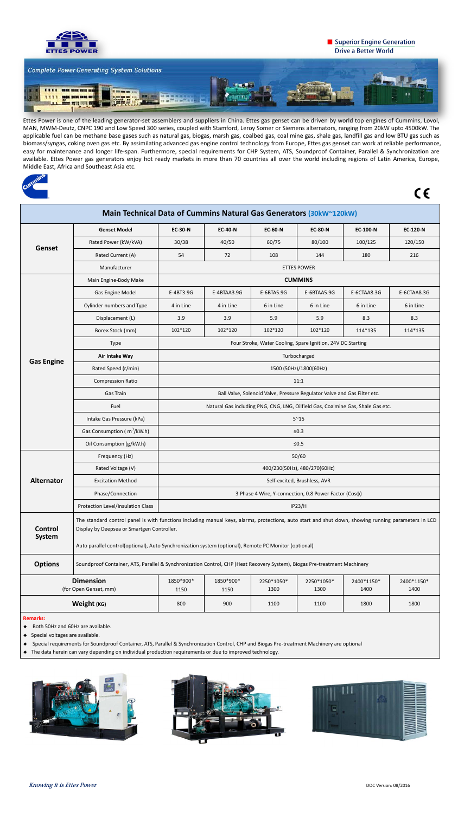

## Superior Engine Generation **Drive a Better World**



Ettes Power is one of the leading generator-set assemblers and suppliers in China. Ettes gas genset can be driven by world top engines of Cummins, Lovol, MAN, MWM-Deutz, CNPC 190 and Low Speed 300 series, coupled with Stamford, Leroy Somer or Siemens alternators, ranging from 20kW upto 4500kW. The applicable fuel can be methane base gases such as natural gas, biogas, marsh gas, coalbed gas, coal mine gas, shale gas, landfill gas and low BTU gas such as biomass/syngas, coking oven gas etc. By assimilating advanced gas engine control technology from Europe, Ettes gas genset can work at reliable performance, easy for maintenance and longer life-span. Furthermore, special requirements for CHP System, ATS, Soundproof Container, Parallel & Synchronization are available. Ettes Power gas generators enjoy hot ready markets in more than 70 countries all over the world including regions of Latin America, Europe, Middle East, Africa and Southeast Asia etc.



 $C \in$ 

| Main Technical Data of Cummins Natural Gas Generators (30kW~120kW) |                                                                                                                                                                                                                                                                                                             |                                                                                 |                   |                    |                    |                    |                    |  |  |  |  |
|--------------------------------------------------------------------|-------------------------------------------------------------------------------------------------------------------------------------------------------------------------------------------------------------------------------------------------------------------------------------------------------------|---------------------------------------------------------------------------------|-------------------|--------------------|--------------------|--------------------|--------------------|--|--|--|--|
| <b>Genset</b>                                                      | <b>Genset Model</b>                                                                                                                                                                                                                                                                                         | <b>EC-30-N</b>                                                                  | <b>EC-40-N</b>    | <b>EC-60-N</b>     | <b>EC-80-N</b>     | <b>EC-100-N</b>    | <b>EC-120-N</b>    |  |  |  |  |
|                                                                    | Rated Power (kW/kVA)                                                                                                                                                                                                                                                                                        | 30/38                                                                           | 40/50             | 60/75              | 80/100             | 100/125            | 120/150            |  |  |  |  |
|                                                                    | Rated Current (A)                                                                                                                                                                                                                                                                                           | 54                                                                              | 72                | 108                | 144                | 180                | 216                |  |  |  |  |
|                                                                    | Manufacturer                                                                                                                                                                                                                                                                                                | <b>ETTES POWER</b>                                                              |                   |                    |                    |                    |                    |  |  |  |  |
|                                                                    | Main Engine-Body Make                                                                                                                                                                                                                                                                                       | <b>CUMMINS</b>                                                                  |                   |                    |                    |                    |                    |  |  |  |  |
|                                                                    | <b>Gas Engine Model</b>                                                                                                                                                                                                                                                                                     | E-4BT3.9G                                                                       | E-4BTAA3.9G       | E-6BTA5.9G         | E-6BTAA5.9G        | E-6CTAA8.3G        | E-6CTAA8.3G        |  |  |  |  |
|                                                                    | Cylinder numbers and Type                                                                                                                                                                                                                                                                                   | 4 in Line                                                                       | 4 in Line         | 6 in Line          | 6 in Line          | 6 in Line          | 6 in Line          |  |  |  |  |
|                                                                    | Displacement (L)                                                                                                                                                                                                                                                                                            | 3.9                                                                             | 3.9               | 5.9                | 5.9                | 8.3                | 8.3                |  |  |  |  |
| <b>Gas Engine</b>                                                  | Borex Stock (mm)                                                                                                                                                                                                                                                                                            | 102*120                                                                         | 102*120           | 102*120            | 102*120            | 114*135            | 114*135            |  |  |  |  |
|                                                                    | Type                                                                                                                                                                                                                                                                                                        | Four Stroke, Water Cooling, Spare Ignition, 24V DC Starting                     |                   |                    |                    |                    |                    |  |  |  |  |
|                                                                    | Air Intake Way                                                                                                                                                                                                                                                                                              | Turbocharged                                                                    |                   |                    |                    |                    |                    |  |  |  |  |
|                                                                    | Rated Speed (r/min)                                                                                                                                                                                                                                                                                         | 1500 (50Hz)/1800(60Hz)                                                          |                   |                    |                    |                    |                    |  |  |  |  |
|                                                                    | <b>Compression Ratio</b>                                                                                                                                                                                                                                                                                    | 11:1                                                                            |                   |                    |                    |                    |                    |  |  |  |  |
|                                                                    | Gas Train                                                                                                                                                                                                                                                                                                   | Ball Valve, Solenoid Valve, Pressure Regulator Valve and Gas Filter etc.        |                   |                    |                    |                    |                    |  |  |  |  |
|                                                                    | Fuel                                                                                                                                                                                                                                                                                                        | Natural Gas including PNG, CNG, LNG, Oilfield Gas, Coalmine Gas, Shale Gas etc. |                   |                    |                    |                    |                    |  |  |  |  |
|                                                                    | Intake Gas Pressure (kPa)                                                                                                                                                                                                                                                                                   | $5^{\sim}15$                                                                    |                   |                    |                    |                    |                    |  |  |  |  |
|                                                                    | Gas Consumption ( m <sup>3</sup> /kW.h)                                                                                                                                                                                                                                                                     | $≤0.3$                                                                          |                   |                    |                    |                    |                    |  |  |  |  |
|                                                                    | Oil Consumption (g/kW.h)                                                                                                                                                                                                                                                                                    | $≤0.5$                                                                          |                   |                    |                    |                    |                    |  |  |  |  |
| <b>Alternator</b>                                                  | Frequency (Hz)                                                                                                                                                                                                                                                                                              | 50/60                                                                           |                   |                    |                    |                    |                    |  |  |  |  |
|                                                                    | Rated Voltage (V)                                                                                                                                                                                                                                                                                           | 400/230(50Hz), 480/270(60Hz)                                                    |                   |                    |                    |                    |                    |  |  |  |  |
|                                                                    | <b>Excitation Method</b>                                                                                                                                                                                                                                                                                    | Self-excited, Brushless, AVR                                                    |                   |                    |                    |                    |                    |  |  |  |  |
|                                                                    | Phase/Connection                                                                                                                                                                                                                                                                                            | 3 Phase 4 Wire, Y-connection, 0.8 Power Factor (Coso)                           |                   |                    |                    |                    |                    |  |  |  |  |
|                                                                    | Protection Level/Insulation Class                                                                                                                                                                                                                                                                           | <b>IP23/H</b>                                                                   |                   |                    |                    |                    |                    |  |  |  |  |
| <b>Control</b><br><b>System</b>                                    | The standard control panel is with functions including manual keys, alarms, protections, auto start and shut down, showing running parameters in LCD<br>Display by Deepsea or Smartgen Controller.<br>Auto parallel control(optional), Auto Synchronization system (optional), Remote PC Monitor (optional) |                                                                                 |                   |                    |                    |                    |                    |  |  |  |  |
| <b>Options</b>                                                     | Soundproof Container, ATS, Parallel & Synchronization Control, CHP (Heat Recovery System), Biogas Pre-treatment Machinery                                                                                                                                                                                   |                                                                                 |                   |                    |                    |                    |                    |  |  |  |  |
| <b>Dimension</b><br>(for Open Genset, mm)                          |                                                                                                                                                                                                                                                                                                             | 1850*900*<br>1150                                                               | 1850*900*<br>1150 | 2250*1050*<br>1300 | 2250*1050*<br>1300 | 2400*1150*<br>1400 | 2400*1150*<br>1400 |  |  |  |  |
| Weight (KG)                                                        |                                                                                                                                                                                                                                                                                                             | 800                                                                             | 900               | 1100               | 1100               | 1800               | 1800               |  |  |  |  |
| <b>Remarks:</b>                                                    |                                                                                                                                                                                                                                                                                                             |                                                                                 |                   |                    |                    |                    |                    |  |  |  |  |

- ◆ Both 50Hz and 60Hz are available.
- ◆ Special voltages are available.
- ◆ Special requirements for Soundproof Container, ATS, Parallel & Synchronization Control, CHP and Biogas Pre-treatment Machinery are optional
- ◆ The data herein can vary depending on individual production requirements or due to improved technology.